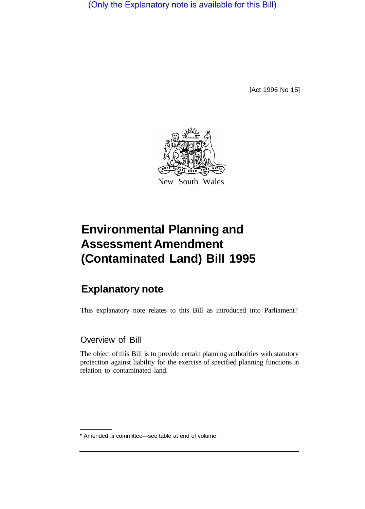(Only the Explanatory note is available for this Bill)

[Act 1996 No 15]



## **Environmental Planning and Assessment Amendment (Contaminated Land) Bill 1995**

## **Explanatory note**

This explanatory note relates to this Bill as introduced into Parliament?

Overview of Bill

The object of this Bill is to provide certain planning authorities with statutory protection against liability for the exercise of specified planning functions in relation to contaminated land.

Amended in committee—see table at end of volume.